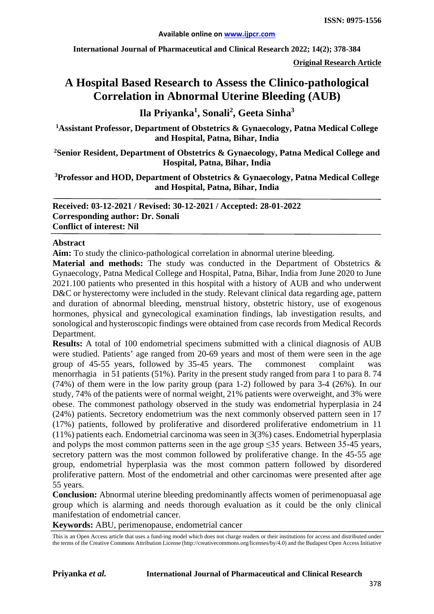**International Journal of Pharmaceutical and Clinical Research 2022; 14(2); 378-384**

**Original Research Article**

# **A Hospital Based Research to Assess the Clinico-pathological Correlation in Abnormal Uterine Bleeding (AUB)**

**Ila Priyanka1 , Sonali<sup>2</sup> , Geeta Sinha3**

**1 Assistant Professor, Department of Obstetrics & Gynaecology, Patna Medical College and Hospital, Patna, Bihar, India**

**2 Senior Resident, Department of Obstetrics & Gynaecology, Patna Medical College and Hospital, Patna, Bihar, India**

**3 Professor and HOD, Department of Obstetrics & Gynaecology, Patna Medical College and Hospital, Patna, Bihar, India**

**Received: 03-12-2021 / Revised: 30-12-2021 / Accepted: 28-01-2022 Corresponding author: Dr. Sonali Conflict of interest: Nil**

#### **Abstract**

**Aim:** To study the clinico-pathological correlation in abnormal uterine bleeding.

**Material and methods:** The study was conducted in the Department of Obstetrics & Gynaecology, Patna Medical College and Hospital, Patna, Bihar, India from June 2020 to June 2021.100 patients who presented in this hospital with a history of AUB and who underwent D&C or hysterectomy were included in the study. Relevant clinical data regarding age, pattern and duration of abnormal bleeding, menstrual history, obstetric history, use of exogenous hormones, physical and gynecological examination findings, lab investigation results, and sonological and hysteroscopic findings were obtained from case records from Medical Records Department.

**Results:** A total of 100 endometrial specimens submitted with a clinical diagnosis of AUB were studied. Patients' age ranged from 20-69 years and most of them were seen in the age group of 45-55 years, followed by 35-45 years. The commonest complaint was menorrhagia in 51 patients (51%). Parity in the present study ranged from para 1 to para 8. 74 (74%) of them were in the low parity group (para 1-2) followed by para 3-4 (26%). In our study, 74% of the patients were of normal weight, 21% patients were overweight, and 3% were obese. The commonest pathology observed in the study was endometrial hyperplasia in 24 (24%) patients. Secretory endometrium was the next commonly observed pattern seen in 17 (17%) patients, followed by proliferative and disordered proliferative endometrium in 11 (11%) patients each. Endometrial carcinoma was seen in 3(3%) cases. Endometrial hyperplasia and polyps the most common patterns seen in the age group ≤35 years. Between 35-45 years, secretory pattern was the most common followed by proliferative change. In the 45-55 age group, endometrial hyperplasia was the most common pattern followed by disordered proliferative pattern. Most of the endometrial and other carcinomas were presented after age 55 years.

**Conclusion:** Abnormal uterine bleeding predominantly affects women of perimenopuasal age group which is alarming and needs thorough evaluation as it could be the only clinical manifestation of endometrial cancer.

**Keywords:** ABU, perimenopause, endometrial cancer

This is an Open Access article that uses a fund-ing model which does not charge readers or their institutions for access and distributed under the terms of the Creative Commons Attribution License (http://creativecommons.org/licenses/by/4.0) and the Budapest Open Access Initiative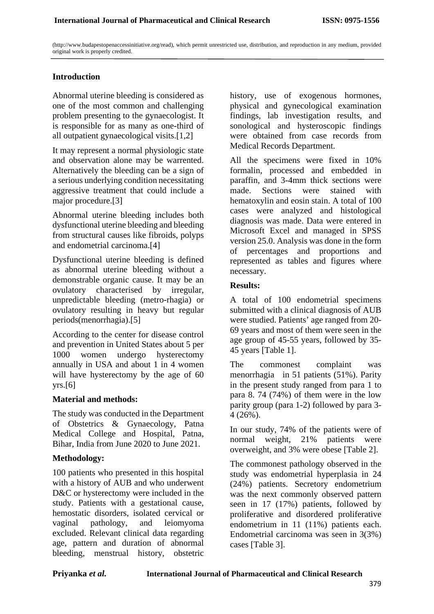(http://www.budapestopenaccessinitiative.org/read), which permit unrestricted use, distribution, and reproduction in any medium, provided original work is properly credited.

# **Introduction**

Abnormal uterine bleeding is considered as one of the most common and challenging problem presenting to the gynaecologist. It is responsible for as many as one-third of all outpatient gynaecological visits.[1,2]

It may represent a normal physiologic state and observation alone may be warrented. Alternatively the bleeding can be a sign of a serious underlying condition necessitating aggressive treatment that could include a major procedure.[3]

Abnormal uterine bleeding includes both dysfunctional uterine bleeding and bleeding from structural causes like fibroids, polyps and endometrial carcinoma.[4]

Dysfunctional uterine bleeding is defined as abnormal uterine bleeding without a demonstrable organic cause. It may be an ovulatory characterised by irregular, unpredictable bleeding (metro-rhagia) or ovulatory resulting in heavy but regular periods(menorrhagia).[5]

According to the center for disease control and prevention in United States about 5 per 1000 women undergo hysterectomy annually in USA and about 1 in 4 women will have hysterectomy by the age of 60  $vrs.[6]$ 

### **Material and methods:**

The study was conducted in the Department of Obstetrics & Gynaecology, Patna Medical College and Hospital, Patna, Bihar, India from June 2020 to June 2021.

### **Methodology:**

100 patients who presented in this hospital with a history of AUB and who underwent D&C or hysterectomy were included in the study. Patients with a gestational cause, hemostatic disorders, isolated cervical or vaginal pathology, and leiomyoma excluded. Relevant clinical data regarding age, pattern and duration of abnormal bleeding, menstrual history, obstetric

history, use of exogenous hormones, physical and gynecological examination findings, lab investigation results, and sonological and hysteroscopic findings were obtained from case records from Medical Records Department.

All the specimens were fixed in 10% formalin, processed and embedded in paraffin, and 3-4mm thick sections were made. Sections were stained with hematoxylin and eosin stain. A total of 100 cases were analyzed and histological diagnosis was made. Data were entered in Microsoft Excel and managed in SPSS version 25.0. Analysis was done in the form of percentages and proportions and represented as tables and figures where necessary.

## **Results:**

A total of 100 endometrial specimens submitted with a clinical diagnosis of AUB were studied. Patients' age ranged from 20- 69 years and most of them were seen in the age group of 45-55 years, followed by 35- 45 years [Table 1].

The commonest complaint was menorrhagia in 51 patients (51%). Parity in the present study ranged from para 1 to para 8. 74 (74%) of them were in the low parity group (para 1-2) followed by para 3- 4 (26%).

In our study, 74% of the patients were of normal weight, 21% patients were overweight, and 3% were obese [Table 2].

The commonest pathology observed in the study was endometrial hyperplasia in 24 (24%) patients. Secretory endometrium was the next commonly observed pattern seen in 17 (17%) patients, followed by proliferative and disordered proliferative endometrium in 11 (11%) patients each. Endometrial carcinoma was seen in 3(3%) cases [Table 3].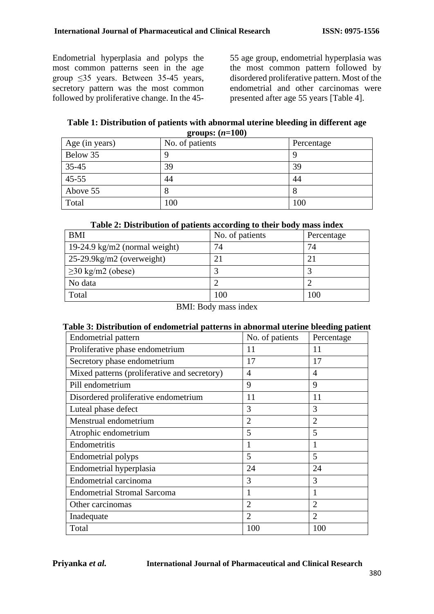Endometrial hyperplasia and polyps the most common patterns seen in the age group ≤35 years. Between 35-45 years, secretory pattern was the most common followed by proliferative change. In the 4555 age group, endometrial hyperplasia was the most common pattern followed by disordered proliferative pattern. Most of the endometrial and other carcinomas were presented after age 55 years [Table 4].

**Table 1: Distribution of patients with abnormal uterine bleeding in different age groups: (***n***=100)**

| Age (in years) | No. of patients | Percentage |
|----------------|-----------------|------------|
| Below 35       |                 |            |
| $35 - 45$      | 39              | 39         |
| $45 - 55$      | 44              | 44         |
| Above 55       |                 | $\circ$    |
| Total          | 100             | 100        |

## **Table 2: Distribution of patients according to their body mass index**

| <b>BMI</b>                    | No. of patients | Percentage |
|-------------------------------|-----------------|------------|
| 19-24.9 kg/m2 (normal weight) | 74              | 74         |
| $25-29.9$ kg/m2 (overweight)  |                 | 21         |
| $\geq$ 30 kg/m2 (obese)       |                 |            |
| No data                       |                 |            |
| Total                         | 100             | 100        |

BMI: Body mass index

### **Table 3: Distribution of endometrial patterns in abnormal uterine bleeding patient**

| Endometrial pattern                          | No. of patients | Percentage     |
|----------------------------------------------|-----------------|----------------|
| Proliferative phase endometrium              | 11              | 11             |
| Secretory phase endometrium                  | 17              | 17             |
| Mixed patterns (proliferative and secretory) | 4               | 4              |
| Pill endometrium                             | 9               | 9              |
| Disordered proliferative endometrium         | 11              | 11             |
| Luteal phase defect                          | 3               | 3              |
| Menstrual endometrium                        | $\overline{2}$  | $\overline{2}$ |
| Atrophic endometrium                         | 5               | 5              |
| Endometritis                                 |                 |                |
| Endometrial polyps                           | 5               | 5              |
| Endometrial hyperplasia                      | 24              | 24             |
| Endometrial carcinoma                        | 3               | 3              |
| <b>Endometrial Stromal Sarcoma</b>           |                 |                |
| Other carcinomas                             | $\overline{2}$  | $\overline{2}$ |
| Inadequate                                   | $\overline{2}$  | $\overline{2}$ |
| Total                                        | 100             | 100            |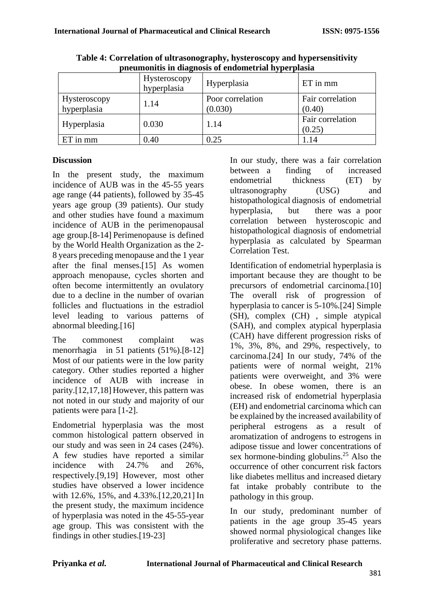| pheumonius in uiagnosis of chuometrial hyperplasia |                             |                             |                            |  |  |
|----------------------------------------------------|-----------------------------|-----------------------------|----------------------------|--|--|
|                                                    | Hysteroscopy<br>hyperplasia | Hyperplasia                 | $ET$ in $mm$               |  |  |
| Hysteroscopy<br>hyperplasia                        | 1.14                        | Poor correlation<br>(0.030) | Fair correlation<br>(0.40) |  |  |
| Hyperplasia                                        | 0.030                       | 1.14                        | Fair correlation<br>(0.25) |  |  |
| $ET$ in $mm$                                       | 0.40                        | 0.25                        | 1.14                       |  |  |

**Table 4: Correlation of ultrasonography, hysteroscopy and hypersensitivity pneumonitis in diagnosis of endometrial hyperplasia**

## **Discussion**

In the present study, the maximum incidence of AUB was in the 45-55 years age range (44 patients), followed by 35-45 years age group (39 patients). Our study and other studies have found a maximum incidence of AUB in the perimenopausal age group.[8-14] Perimenopause is defined by the World Health Organization as the 2- 8 years preceding menopause and the 1 year after the final menses.[15] As women approach menopause, cycles shorten and often become intermittently an ovulatory due to a decline in the number of ovarian follicles and fluctuations in the estradiol level leading to various patterns of abnormal bleeding.[16]

The commonest complaint was menorrhagia in 51 patients (51%).[8-12] Most of our patients were in the low parity category. Other studies reported a higher incidence of AUB with increase in parity.[12,17,18] However, this pattern was not noted in our study and majority of our patients were para [1-2].

Endometrial hyperplasia was the most common histological pattern observed in our study and was seen in 24 cases (24%). A few studies have reported a similar incidence with 24.7% and 26%, respectively.[9,19] However, most other studies have observed a lower incidence with 12.6%, 15%, and 4.33%.[12,20,21] In the present study, the maximum incidence of hyperplasia was noted in the 45-55-year age group. This was consistent with the findings in other studies.[19-23]

In our study, there was a fair correlation between a finding of increased endometrial thickness (ET) by ultrasonography (USG) and histopathological diagnosis of endometrial hyperplasia, but there was a poor correlation between hysteroscopic and histopathological diagnosis of endometrial hyperplasia as calculated by Spearman Correlation Test.

Identification of endometrial hyperplasia is important because they are thought to be precursors of endometrial carcinoma.[10] The overall risk of progression of hyperplasia to cancer is 5-10%.[24] Simple (SH), complex (CH) , simple atypical (SAH), and complex atypical hyperplasia (CAH) have different progression risks of 1%, 3%, 8%, and 29%, respectively, to carcinoma.[24] In our study, 74% of the patients were of normal weight, 21% patients were overweight, and 3% were obese. In obese women, there is an increased risk of endometrial hyperplasia (EH) and endometrial carcinoma which can be explained by the increased availability of peripheral estrogens as a result of aromatization of androgens to estrogens in adipose tissue and lower concentrations of sex hormone-binding globulins.<sup>25</sup> Also the occurrence of other concurrent risk factors like diabetes mellitus and increased dietary fat intake probably contribute to the pathology in this group.

In our study, predominant number of patients in the age group 35-45 years showed normal physiological changes like proliferative and secretory phase patterns.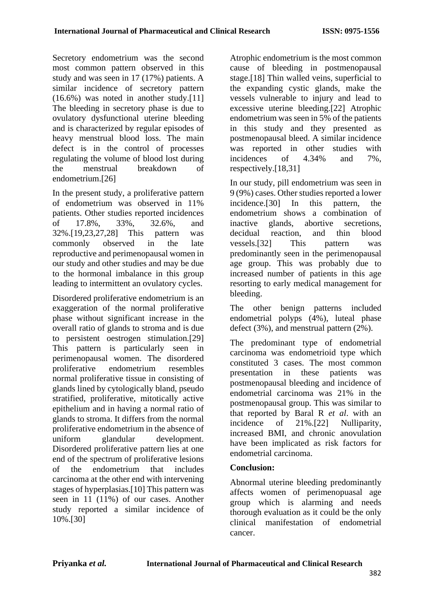Secretory endometrium was the second most common pattern observed in this study and was seen in 17 (17%) patients. A similar incidence of secretory pattern (16.6%) was noted in another study.[11] The bleeding in secretory phase is due to ovulatory dysfunctional uterine bleeding and is characterized by regular episodes of heavy menstrual blood loss. The main defect is in the control of processes regulating the volume of blood lost during the menstrual breakdown of endometrium.[26]

In the present study, a proliferative pattern of endometrium was observed in 11% patients. Other studies reported incidences of 17.8%, 33%, 32.6%, and 32%.[19,23,27,28] This pattern was commonly observed in the late reproductive and perimenopausal women in our study and other studies and may be due to the hormonal imbalance in this group leading to intermittent an ovulatory cycles.

Disordered proliferative endometrium is an exaggeration of the normal proliferative phase without significant increase in the overall ratio of glands to stroma and is due to persistent oestrogen stimulation.[29] This pattern is particularly seen in perimenopausal women. The disordered proliferative endometrium resembles normal proliferative tissue in consisting of glands lined by cytologically bland, pseudo stratified, proliferative, mitotically active epithelium and in having a normal ratio of glands to stroma. It differs from the normal proliferative endometrium in the absence of uniform glandular development. Disordered proliferative pattern lies at one end of the spectrum of proliferative lesions of the endometrium that includes carcinoma at the other end with intervening stages of hyperplasias.[10] This pattern was seen in 11 (11%) of our cases. Another study reported a similar incidence of 10%.[30]

Atrophic endometrium is the most common cause of bleeding in postmenopausal stage.[18] Thin walled veins, superficial to the expanding cystic glands, make the vessels vulnerable to injury and lead to excessive uterine bleeding.[22] Atrophic endometrium was seen in 5% of the patients in this study and they presented as postmenopausal bleed. A similar incidence was reported in other studies with incidences of 4.34% and 7%, respectively.[18,31]

In our study, pill endometrium was seen in 9 (9%) cases. Other studies reported a lower incidence.[30] In this pattern, the endometrium shows a combination of inactive glands, abortive secretions, decidual reaction, and thin blood vessels.[32] This pattern was predominantly seen in the perimenopausal age group. This was probably due to increased number of patients in this age resorting to early medical management for bleeding.

The other benign patterns included endometrial polyps (4%), luteal phase defect (3%), and menstrual pattern (2%).

The predominant type of endometrial carcinoma was endometrioid type which constituted 3 cases. The most common presentation in these patients was postmenopausal bleeding and incidence of endometrial carcinoma was 21% in the postmenopausal group. This was similar to that reported by Baral R *et al*. with an incidence of 21%.[22] Nulliparity, increased BMI, and chronic anovulation have been implicated as risk factors for endometrial carcinoma.

# **Conclusion:**

Abnormal uterine bleeding predominantly affects women of perimenopuasal age group which is alarming and needs thorough evaluation as it could be the only clinical manifestation of endometrial cancer.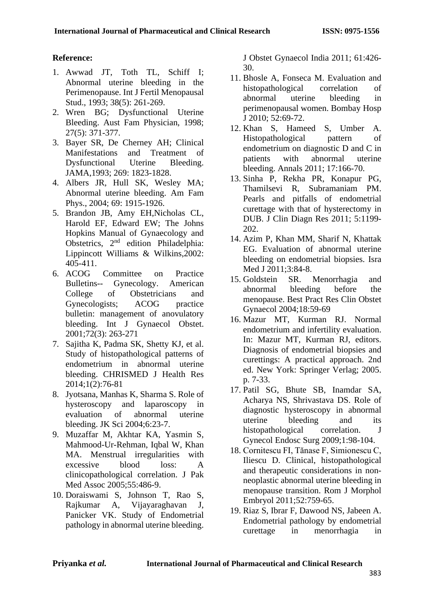# **Reference:**

- 1. Awwad JT, Toth TL, Schiff I; Abnormal uterine bleeding in the Perimenopause. Int J Fertil Menopausal Stud., 1993; 38(5): 261-269.
- 2. Wren BG; Dysfunctional Uterine Bleeding. Aust Fam Physician, 1998; 27(5): 371-377.
- 3. Bayer SR, De Cherney AH; Clinical Manifestations and Treatment of Dysfunctional Uterine Bleeding. JAMA,1993; 269: 1823-1828.
- 4. Albers JR, Hull SK, Wesley MA; Abnormal uterine bleeding. Am Fam Phys., 2004; 69: 1915-1926.
- 5. Brandon JB, Amy EH,Nicholas CL, Harold EF, Edward EW; The Johns Hopkins Manual of Gynaecology and Obstetrics, 2nd edition Philadelphia: Lippincott Williams & Wilkins,2002: 405-411.
- 6. ACOG Committee on Practice Bulletins-- Gynecology. American College of Obstetricians and Gynecologists; ACOG practice bulletin: management of anovulatory bleeding. Int J Gynaecol Obstet. 2001;72(3): 263-271
- 7. Sajitha K, Padma SK, Shetty KJ, et al. Study of histopathological patterns of endometrium in abnormal uterine bleeding. CHRISMED J Health Res 2014;1(2):76-81
- 8. Jyotsana, Manhas K, Sharma S. Role of hysteroscopy and laparoscopy in<br>evaluation of abnormal uterine evaluation of abnormal uterine bleeding. JK Sci 2004;6:23-7.
- 9. Muzaffar M, Akhtar KA, Yasmin S, Mahmood-Ur-Rehman, Iqbal W, Khan MA. Menstrual irregularities with excessive blood loss: A clinicopathological correlation. J Pak Med Assoc 2005;55:486-9.
- 10. Doraiswami S, Johnson T, Rao S, Rajkumar A, Vijayaraghavan J, Panicker VK. Study of Endometrial pathology in abnormal uterine bleeding.

J Obstet Gynaecol India 2011; 61:426- 30.

- 11. Bhosle A, Fonseca M. Evaluation and histopathological correlation of abnormal uterine bleeding in perimenopausal women. Bombay Hosp J 2010; 52:69-72.
- 12. Khan S, Hameed S, Umber A. Histopathological pattern of endometrium on diagnostic D and C in patients with abnormal uterine bleeding. Annals 2011; 17:166-70.
- 13. Sinha P, Rekha PR, Konapur PG, Thamilsevi R, Subramaniam PM. Pearls and pitfalls of endometrial curettage with that of hysterectomy in DUB. J Clin Diagn Res 2011; 5:1199- 202.
- 14. Azim P, Khan MM, Sharif N, Khattak EG. Evaluation of abnormal uterine bleeding on endometrial biopsies. Isra Med J 2011:3:84-8.
- 15. Goldstein SR. Menorrhagia and abnormal bleeding before the menopause. Best Pract Res Clin Obstet Gynaecol 2004;18:59-69
- 16. Mazur MT, Kurman RJ. Normal endometrium and infertility evaluation. In: Mazur MT, Kurman RJ, editors. Diagnosis of endometrial biopsies and curettings: A practical approach. 2nd ed. New York: Springer Verlag; 2005. p. 7-33.
- 17. Patil SG, Bhute SB, Inamdar SA, Acharya NS, Shrivastava DS. Role of diagnostic hysteroscopy in abnormal uterine bleeding and its histopathological correlation. J Gynecol Endosc Surg 2009;1:98-104.
- 18. Cornitescu FI, Tănase F, Simionescu C, Iliescu D. Clinical, histopathological and therapeutic considerations in nonneoplastic abnormal uterine bleeding in menopause transition. Rom J Morphol Embryol 2011;52:759-65.
- 19. Riaz S, Ibrar F, Dawood NS, Jabeen A. Endometrial pathology by endometrial curettage in menorrhagia in